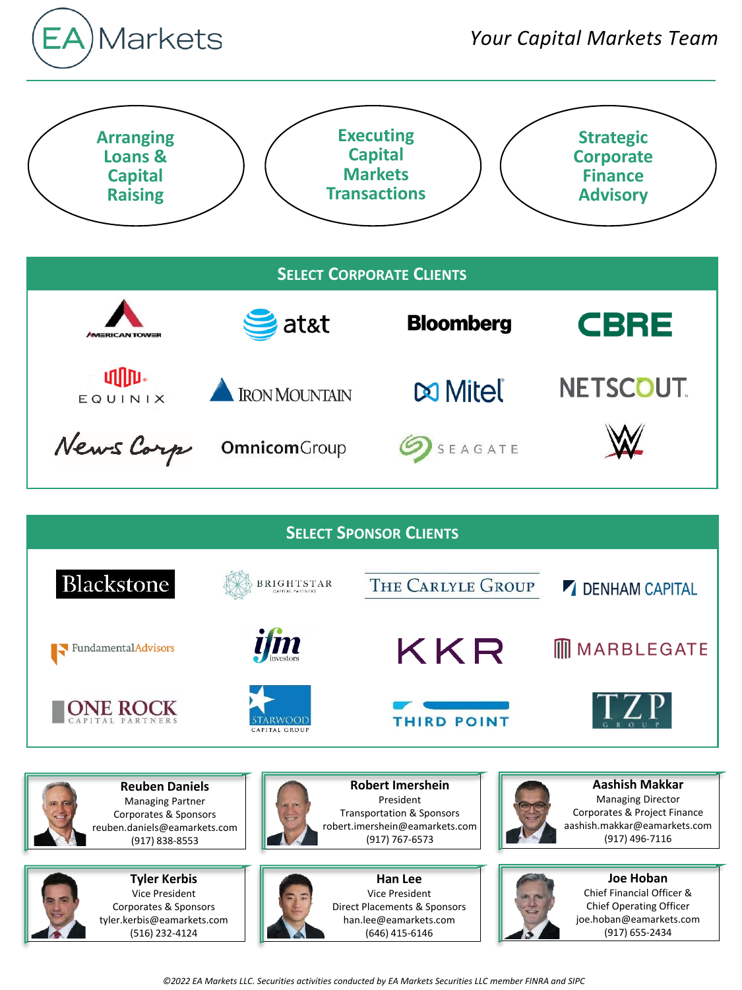





**Tyler Kerbis** Vice President Corporates & Sponsors tyler.kerbis@eamarkets.com (516) 232-4124



**Han Lee** Vice President Direct Placements & Sponsors han.lee@eamarkets.com (646) 415-6146



Chief Financial Officer & Chief Operating Officer joe.hoban@eamarkets.com (917) 655-2434